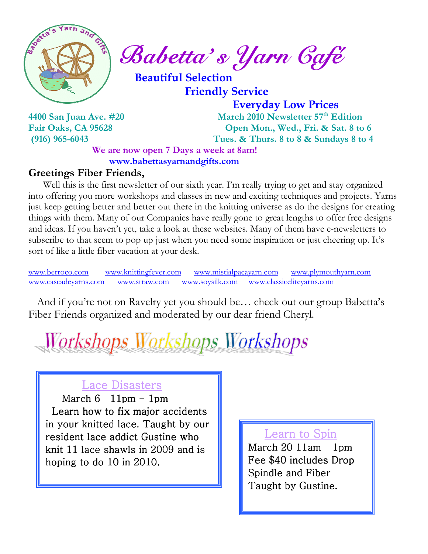

Sabetta's Yarn Gafé

 Beautiful Selection Friendly Service

 Everyday Low Prices 4400 San Juan Ave. #20 March 2010 Newsletter 57<sup>th</sup> Edition Fair Oaks, CA 95628 Open Mon., Wed., Fri. & Sat. 8 to 6 (916) 965-6043 Tues. & Thurs. 8 to 8 & Sundays 8 to 4

We are now open 7 Days a week at 8am! www.babettasyarnandgifts.com

#### Greetings Fiber Friends,

 Well this is the first newsletter of our sixth year. I'm really trying to get and stay organized into offering you more workshops and classes in new and exciting techniques and projects. Yarns just keep getting better and better out there in the knitting universe as do the designs for creating things with them. Many of our Companies have really gone to great lengths to offer free designs and ideas. If you haven't yet, take a look at these websites. Many of them have e-newsletters to subscribe to that seem to pop up just when you need some inspiration or just cheering up. It's sort of like a little fiber vacation at your desk.

www.berroco.com www.knittingfever.com www.mistialpacayarn.com www.plymouthyarn.com www.cascadeyarns.com www.straw.com www.soysilk.com www.classiceliteyarns.com

 And if you're not on Ravelry yet you should be… check out our group Babetta's Fiber Friends organized and moderated by our dear friend Cheryl.

Workshops Workshops Workshops

#### Lace Disasters

March  $6$  11pm - 1pm Learn how to fix major accidents in your knitted lace. Taught by our resident lace addict Gustine who knit 11 lace shawls in 2009 and is hoping to do  $10$  in  $2010$ .

#### Learn to Spin

March  $20$  11am  $-$  1pm Fee \$40 includes Drop Spindle and Fiber Taught by Gustine.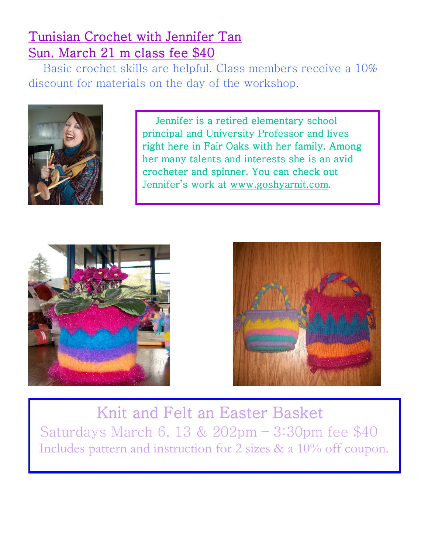### Tunisian Crochet with Jennifer Tan Sun. March 21 m class fee \$40

 Basic crochet skills are helpful. Class members receive a 10% discount for materials on the day of the workshop.



 Jennifer is a retired elementary school principal and University Professor and lives right here in Fair Oaks with her family. Among her many talents and interests she is an avid crocheter and spinner. You can check out Jennifer's work at www.goshyarnit.com.





Knit and Felt an Easter Basket Saturdays March 6, 13 & 202pm – 3:30pm fee \$40 Includes pattern and instruction for 2 sizes & a 10% off coupon.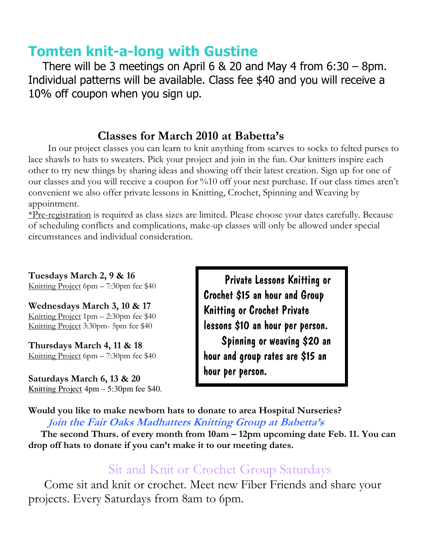## Tomten knit-a-long with Gustine

There will be 3 meetings on April  $6 \& 20$  and May 4 from  $6:30 - 8$ pm. Individual patterns will be available. Class fee \$40 and you will receive a 10% off coupon when you sign up.

### Classes for March 2010 at Babetta's

 In our project classes you can learn to knit anything from scarves to socks to felted purses to lace shawls to hats to sweaters. Pick your project and join in the fun. Our knitters inspire each other to try new things by sharing ideas and showing off their latest creation. Sign up for one of our classes and you will receive a coupon for %10 off your next purchase. If our class times aren't convenient we also offer private lessons in Knitting, Crochet, Spinning and Weaving by appointment.

\*Pre-registration is required as class sizes are limited. Please choose your dates carefully. Because of scheduling conflicts and complications, make-up classes will only be allowed under special circumstances and individual consideration.

Tuesdays March 2, 9 & 16 Knitting Project 6pm – 7:30pm fee \$40

Wednesdays March 3, 10 & 17 Knitting Project 1pm – 2:30pm fee \$40 Knitting Project 3:30pm- 5pm fee \$40

Thursdays March 4, 11 & 18 Knitting Project 6pm – 7:30pm fee \$40

Saturdays March 6, 13 & 20 Knitting Project 4pm – 5:30pm fee \$40.

 Private Lessons Knitting or Crochet \$15 an hour and Group Knitting or Crochet Private lessons \$10 an hour per person. Spinning or weaving \$20 an hour and group rates are \$15 an hour per person.

Would you like to make newborn hats to donate to area Hospital Nurseries?

Join the Fair Oaks Madhatters Knitting Group at Babetta's

 The second Thurs. of every month from 10am – 12pm upcoming date Feb. 11. You can drop off hats to donate if you can't make it to our meeting dates.

### Sit and Knit or Crochet Group Saturdays

 Come sit and knit or crochet. Meet new Fiber Friends and share your projects. Every Saturdays from 8am to 6pm.